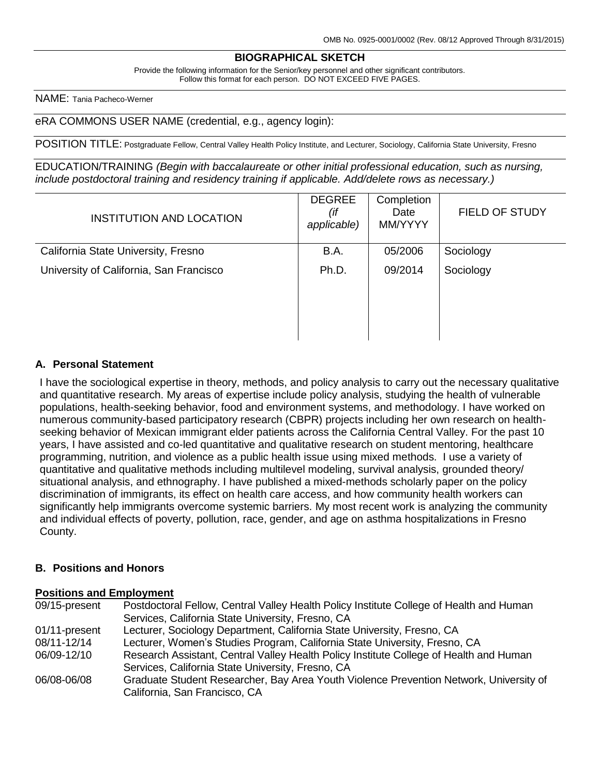#### **BIOGRAPHICAL SKETCH**

Provide the following information for the Senior/key personnel and other significant contributors. Follow this format for each person. DO NOT EXCEED FIVE PAGES.

NAME: Tania Pacheco-Werner

eRA COMMONS USER NAME (credential, e.g., agency login):

POSITION TITLE: Postgraduate Fellow, Central Valley Health Policy Institute, and Lecturer, Sociology, California State University, Fresno

EDUCATION/TRAINING *(Begin with baccalaureate or other initial professional education, such as nursing, include postdoctoral training and residency training if applicable. Add/delete rows as necessary.)*

| INSTITUTION AND LOCATION                | <b>DEGREE</b><br>(if<br>applicable) | Completion<br>Date<br>MM/YYYY | <b>FIELD OF STUDY</b> |
|-----------------------------------------|-------------------------------------|-------------------------------|-----------------------|
| California State University, Fresno     | B.A.                                | 05/2006                       | Sociology             |
| University of California, San Francisco | Ph.D.                               | 09/2014                       | Sociology             |
|                                         |                                     |                               |                       |
|                                         |                                     |                               |                       |
|                                         |                                     |                               |                       |

### **A. Personal Statement**

I have the sociological expertise in theory, methods, and policy analysis to carry out the necessary qualitative and quantitative research. My areas of expertise include policy analysis, studying the health of vulnerable populations, health-seeking behavior, food and environment systems, and methodology. I have worked on numerous community-based participatory research (CBPR) projects including her own research on healthseeking behavior of Mexican immigrant elder patients across the California Central Valley. For the past 10 years, I have assisted and co-led quantitative and qualitative research on student mentoring, healthcare programming, nutrition, and violence as a public health issue using mixed methods. I use a variety of quantitative and qualitative methods including multilevel modeling, survival analysis, grounded theory/ situational analysis, and ethnography. I have published a mixed-methods scholarly paper on the policy discrimination of immigrants, its effect on health care access, and how community health workers can significantly help immigrants overcome systemic barriers. My most recent work is analyzing the community and individual effects of poverty, pollution, race, gender, and age on asthma hospitalizations in Fresno County.

## **B. Positions and Honors**

### **Positions and Employment**

| 09/15-present | Postdoctoral Fellow, Central Valley Health Policy Institute College of Health and Human |
|---------------|-----------------------------------------------------------------------------------------|
|               | Services, California State University, Fresno, CA                                       |
| 01/11-present | Lecturer, Sociology Department, California State University, Fresno, CA                 |
| 08/11-12/14   | Lecturer, Women's Studies Program, California State University, Fresno, CA              |
| 06/09-12/10   | Research Assistant, Central Valley Health Policy Institute College of Health and Human  |
|               | Services, California State University, Fresno, CA                                       |
| 06/08-06/08   | Graduate Student Researcher, Bay Area Youth Violence Prevention Network, University of  |
|               | California, San Francisco, CA                                                           |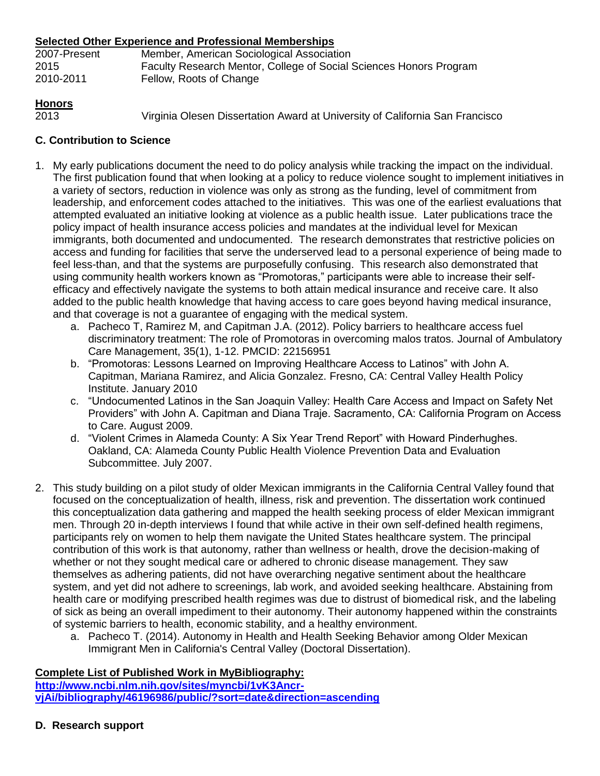## **Selected Other Experience and Professional Memberships**

| 2007-Present | Member, American Sociological Association                          |
|--------------|--------------------------------------------------------------------|
| 2015         | Faculty Research Mentor, College of Social Sciences Honors Program |
| 2010-2011    | Fellow, Roots of Change                                            |

# **Honors**

2013 Virginia Olesen Dissertation Award at University of California San Francisco

# **C. Contribution to Science**

- 1. My early publications document the need to do policy analysis while tracking the impact on the individual. The first publication found that when looking at a policy to reduce violence sought to implement initiatives in a variety of sectors, reduction in violence was only as strong as the funding, level of commitment from leadership, and enforcement codes attached to the initiatives. This was one of the earliest evaluations that attempted evaluated an initiative looking at violence as a public health issue. Later publications trace the policy impact of health insurance access policies and mandates at the individual level for Mexican immigrants, both documented and undocumented. The research demonstrates that restrictive policies on access and funding for facilities that serve the underserved lead to a personal experience of being made to feel less-than, and that the systems are purposefully confusing. This research also demonstrated that using community health workers known as "Promotoras," participants were able to increase their selfefficacy and effectively navigate the systems to both attain medical insurance and receive care. It also added to the public health knowledge that having access to care goes beyond having medical insurance, and that coverage is not a guarantee of engaging with the medical system.
	- a. Pacheco T, Ramirez M, and Capitman J.A. (2012). Policy barriers to healthcare access fuel discriminatory treatment: The role of Promotoras in overcoming malos tratos. Journal of Ambulatory Care Management, 35(1), 1-12. PMCID: 22156951
	- b. "Promotoras: Lessons Learned on Improving Healthcare Access to Latinos" with John A. Capitman, Mariana Ramirez, and Alicia Gonzalez. Fresno, CA: Central Valley Health Policy Institute. January 2010
	- c. "Undocumented Latinos in the San Joaquin Valley: Health Care Access and Impact on Safety Net Providers" with John A. Capitman and Diana Traje. Sacramento, CA: California Program on Access to Care. August 2009.
	- d. "Violent Crimes in Alameda County: A Six Year Trend Report" with Howard Pinderhughes. Oakland, CA: Alameda County Public Health Violence Prevention Data and Evaluation Subcommittee. July 2007.
- 2. This study building on a pilot study of older Mexican immigrants in the California Central Valley found that focused on the conceptualization of health, illness, risk and prevention. The dissertation work continued this conceptualization data gathering and mapped the health seeking process of elder Mexican immigrant men. Through 20 in-depth interviews I found that while active in their own self-defined health regimens, participants rely on women to help them navigate the United States healthcare system. The principal contribution of this work is that autonomy, rather than wellness or health, drove the decision-making of whether or not they sought medical care or adhered to chronic disease management. They saw themselves as adhering patients, did not have overarching negative sentiment about the healthcare system, and yet did not adhere to screenings, lab work, and avoided seeking healthcare. Abstaining from health care or modifying prescribed health regimes was due to distrust of biomedical risk, and the labeling of sick as being an overall impediment to their autonomy. Their autonomy happened within the constraints of systemic barriers to health, economic stability, and a healthy environment.
	- a. Pacheco T. (2014). Autonomy in Health and Health Seeking Behavior among Older Mexican Immigrant Men in California's Central Valley (Doctoral Dissertation).

# **Complete List of Published Work in MyBibliography:**

**[http://www.ncbi.nlm.nih.gov/sites/myncbi/1vK3Ancr](http://www.ncbi.nlm.nih.gov/sites/myncbi/1vK3Ancr-vjAi/bibliography/46196986/public/?sort=date&direction=ascending)[vjAi/bibliography/46196986/public/?sort=date&direction=ascending](http://www.ncbi.nlm.nih.gov/sites/myncbi/1vK3Ancr-vjAi/bibliography/46196986/public/?sort=date&direction=ascending)**